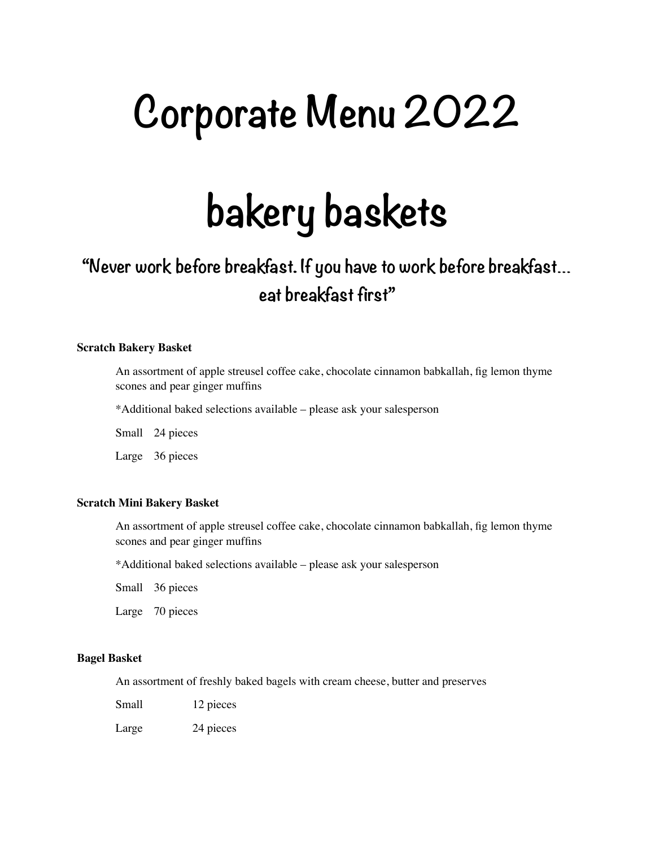# **Corporate Menu 2022**

# **bakery baskets**

### **"Never work before breakfast. If you have to work before breakfast… eat breakfast first"**

#### **Scratch Bakery Basket**

An assortment of apple streusel coffee cake, chocolate cinnamon babkallah, fig lemon thyme scones and pear ginger muffins

\*Additional baked selections available – please ask your salesperson

Small 24 pieces

Large 36 pieces

#### **Scratch Mini Bakery Basket**

An assortment of apple streusel coffee cake, chocolate cinnamon babkallah, fig lemon thyme scones and pear ginger muffins

\*Additional baked selections available – please ask your salesperson

Small 36 pieces

Large 70 pieces

#### **Bagel Basket**

An assortment of freshly baked bagels with cream cheese, butter and preserves

Small 12 pieces

Large 24 pieces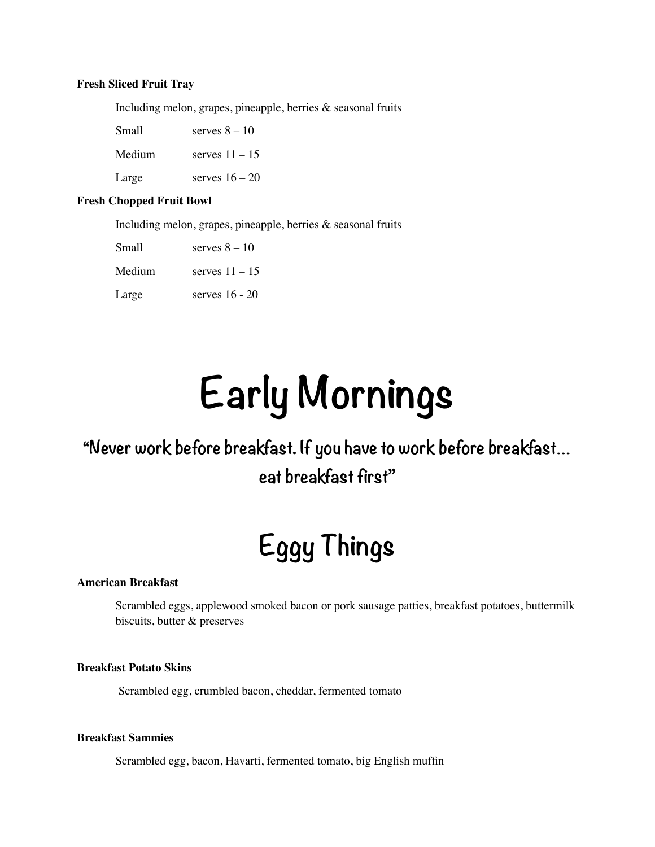#### **Fresh Sliced Fruit Tray**

Including melon, grapes, pineapple, berries & seasonal fruits

| Small  | serves $8 - 10$  |
|--------|------------------|
| Medium | serves $11 - 15$ |
| Large  | serves $16 - 20$ |

#### **Fresh Chopped Fruit Bowl**

Including melon, grapes, pineapple, berries & seasonal fruits

| Small  | serves $8 - 10$  |
|--------|------------------|
| Medium | serves $11 - 15$ |
| Large  | serves $16 - 20$ |

# **Early Mornings**

### **"Never work before breakfast. If you have to work before breakfast… eat breakfast first"**

## **Eggy Things**

#### **American Breakfast**

Scrambled eggs, applewood smoked bacon or pork sausage patties, breakfast potatoes, buttermilk biscuits, butter & preserves

#### **Breakfast Potato Skins**

Scrambled egg, crumbled bacon, cheddar, fermented tomato

#### **Breakfast Sammies**

Scrambled egg, bacon, Havarti, fermented tomato, big English muffin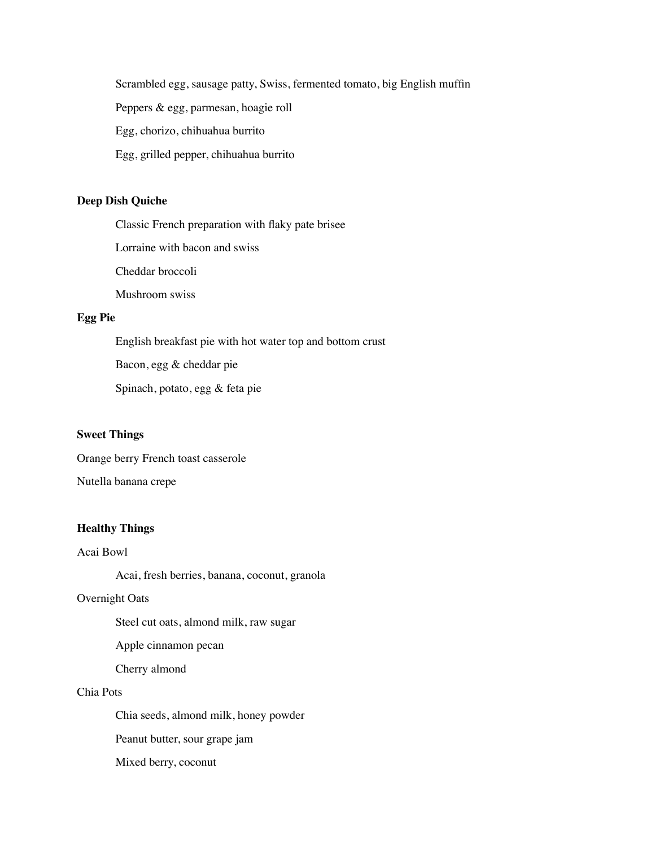Scrambled egg, sausage patty, Swiss, fermented tomato, big English muffin

Peppers & egg, parmesan, hoagie roll

Egg, chorizo, chihuahua burrito

Egg, grilled pepper, chihuahua burrito

#### **Deep Dish Quiche**

Classic French preparation with flaky pate brisee

Lorraine with bacon and swiss

Cheddar broccoli

Mushroom swiss

#### **Egg Pie**

English breakfast pie with hot water top and bottom crust

Bacon, egg & cheddar pie

Spinach, potato, egg & feta pie

#### **Sweet Things**

Orange berry French toast casserole

#### Nutella banana crepe

#### **Healthy Things**

Acai Bowl

Acai, fresh berries, banana, coconut, granola

#### Overnight Oats

Steel cut oats, almond milk, raw sugar

Apple cinnamon pecan

Cherry almond

#### Chia Pots

Chia seeds, almond milk, honey powder

Peanut butter, sour grape jam

Mixed berry, coconut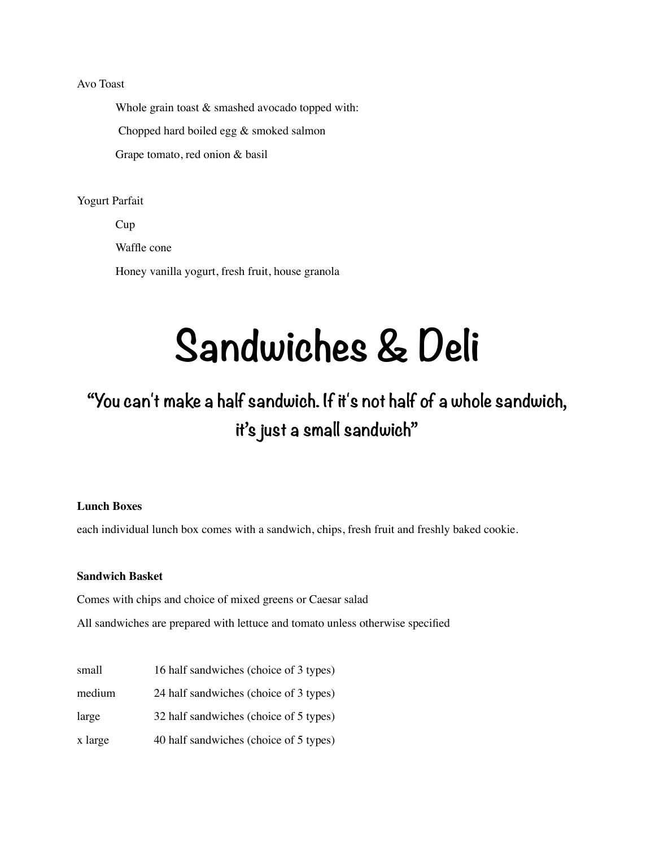#### Avo Toast

Whole grain toast & smashed avocado topped with:

Chopped hard boiled egg & smoked salmon

Grape tomato, red onion & basil

Yogurt Parfait

Cup Waffle cone Honey vanilla yogurt, fresh fruit, house granola

## **Sandwiches & Deli**

### **"You can't make a half sandwich. If it's not half of a whole sandwich, it's just a small sandwich"**

#### **Lunch Boxes**

each individual lunch box comes with a sandwich, chips, fresh fruit and freshly baked cookie.

#### **Sandwich Basket**

Comes with chips and choice of mixed greens or Caesar salad

All sandwiches are prepared with lettuce and tomato unless otherwise specified

| small   | 16 half sandwiches (choice of 3 types) |
|---------|----------------------------------------|
| medium  | 24 half sandwiches (choice of 3 types) |
| large   | 32 half sandwiches (choice of 5 types) |
| x large | 40 half sandwiches (choice of 5 types) |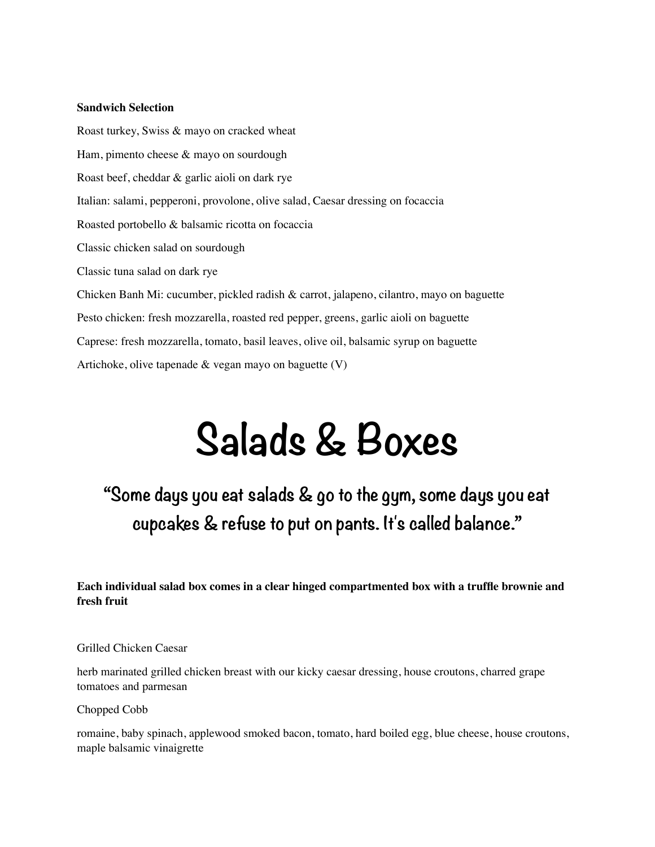#### **Sandwich Selection**

Roast turkey, Swiss & mayo on cracked wheat Ham, pimento cheese & mayo on sourdough Roast beef, cheddar & garlic aioli on dark rye Italian: salami, pepperoni, provolone, olive salad, Caesar dressing on focaccia Roasted portobello & balsamic ricotta on focaccia Classic chicken salad on sourdough Classic tuna salad on dark rye Chicken Banh Mi: cucumber, pickled radish & carrot, jalapeno, cilantro, mayo on baguette Pesto chicken: fresh mozzarella, roasted red pepper, greens, garlic aioli on baguette Caprese: fresh mozzarella, tomato, basil leaves, olive oil, balsamic syrup on baguette Artichoke, olive tapenade & vegan mayo on baguette (V)

# **Salads & Boxes**

**"Some days you eat salads & go to the gym, some days you eat cupcakes & refuse to put on pants. It's called balance."** 

**Each individual salad box comes in a clear hinged compartmented box with a truffle brownie and fresh fruit**

Grilled Chicken Caesar

herb marinated grilled chicken breast with our kicky caesar dressing, house croutons, charred grape tomatoes and parmesan

Chopped Cobb

romaine, baby spinach, applewood smoked bacon, tomato, hard boiled egg, blue cheese, house croutons, maple balsamic vinaigrette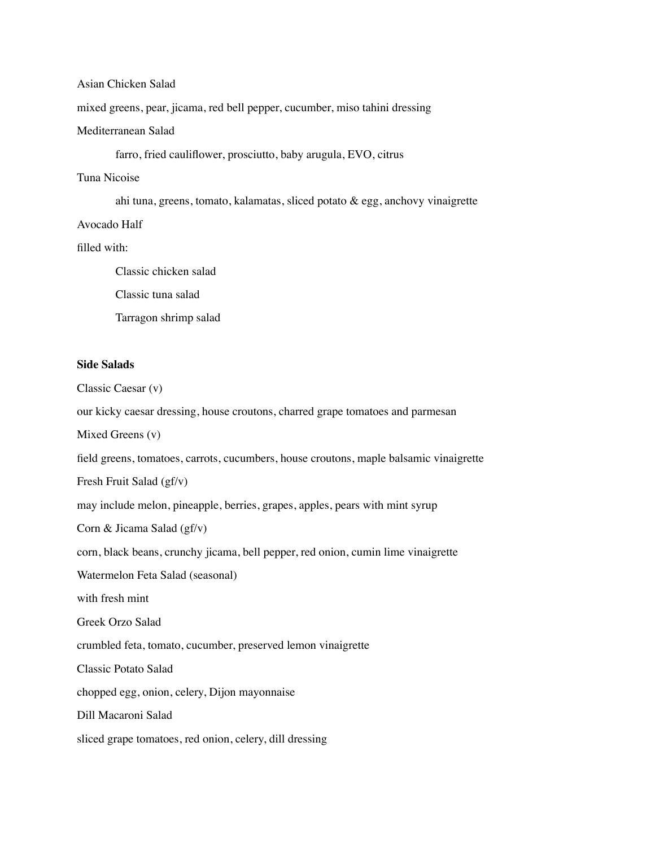#### Asian Chicken Salad

mixed greens, pear, jicama, red bell pepper, cucumber, miso tahini dressing

#### Mediterranean Salad

farro, fried cauliflower, prosciutto, baby arugula, EVO, citrus

#### Tuna Nicoise

ahi tuna, greens, tomato, kalamatas, sliced potato & egg, anchovy vinaigrette

Avocado Half

filled with:

Classic chicken salad Classic tuna salad Tarragon shrimp salad

#### **Side Salads**

Classic Caesar (v)

our kicky caesar dressing, house croutons, charred grape tomatoes and parmesan

Mixed Greens (v)

field greens, tomatoes, carrots, cucumbers, house croutons, maple balsamic vinaigrette

Fresh Fruit Salad (gf/v)

may include melon, pineapple, berries, grapes, apples, pears with mint syrup

Corn & Jicama Salad (gf/v)

corn, black beans, crunchy jicama, bell pepper, red onion, cumin lime vinaigrette

Watermelon Feta Salad (seasonal)

with fresh mint

Greek Orzo Salad

crumbled feta, tomato, cucumber, preserved lemon vinaigrette

Classic Potato Salad

chopped egg, onion, celery, Dijon mayonnaise

Dill Macaroni Salad

sliced grape tomatoes, red onion, celery, dill dressing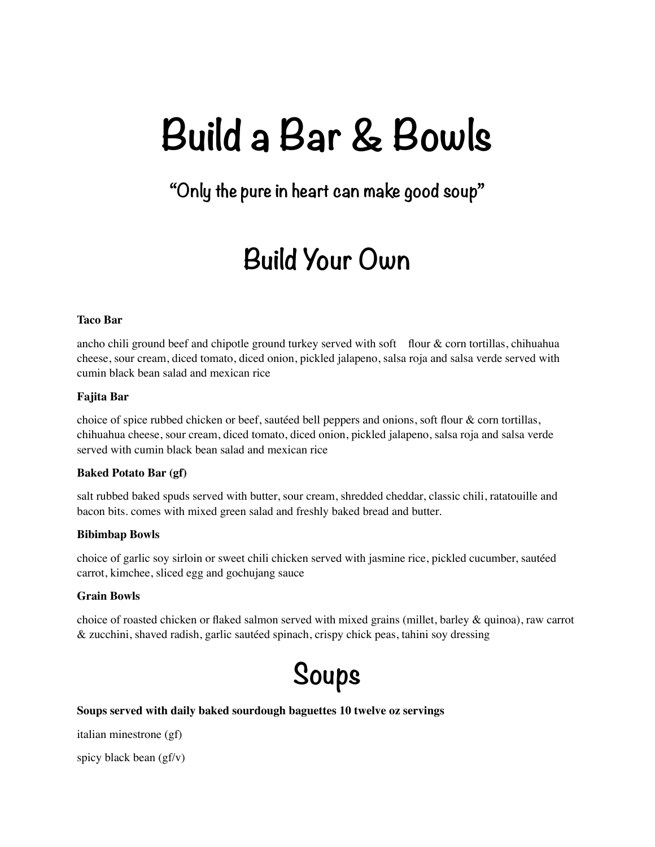# **Build a Bar & Bowls**

### **"Only the pure in heart can make good soup"**

### **Build Your Own**

#### **Taco Bar**

ancho chili ground beef and chipotle ground turkey served with soft flour & corn tortillas, chihuahua cheese, sour cream, diced tomato, diced onion, pickled jalapeno, salsa roja and salsa verde served with cumin black bean salad and mexican rice

#### **Fajita Bar**

choice of spice rubbed chicken or beef, sautéed bell peppers and onions, soft flour & corn tortillas, chihuahua cheese, sour cream, diced tomato, diced onion, pickled jalapeno, salsa roja and salsa verde served with cumin black bean salad and mexican rice

#### **Baked Potato Bar (gf)**

salt rubbed baked spuds served with butter, sour cream, shredded cheddar, classic chili, ratatouille and bacon bits. comes with mixed green salad and freshly baked bread and butter.

#### **Bibimbap Bowls**

choice of garlic soy sirloin or sweet chili chicken served with jasmine rice, pickled cucumber, sautéed carrot, kimchee, sliced egg and gochujang sauce

#### **Grain Bowls**

choice of roasted chicken or flaked salmon served with mixed grains (millet, barley & quinoa), raw carrot & zucchini, shaved radish, garlic sautéed spinach, crispy chick peas, tahini soy dressing

### **Soups**

#### **Soups served with daily baked sourdough baguettes 10 twelve oz servings**

italian minestrone (gf)

spicy black bean (gf/v)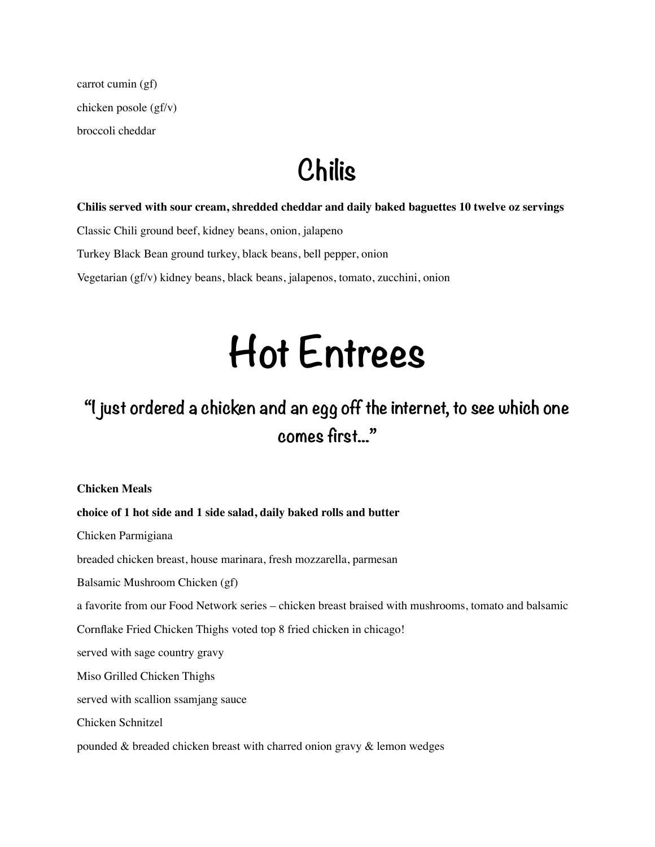carrot cumin (gf) chicken posole (gf/v) broccoli cheddar

### **Chilis**

#### **Chilis served with sour cream, shredded cheddar and daily baked baguettes 10 twelve oz servings**

Classic Chili ground beef, kidney beans, onion, jalapeno

Turkey Black Bean ground turkey, black beans, bell pepper, onion

Vegetarian (gf/v) kidney beans, black beans, jalapenos, tomato, zucchini, onion

# **Hot Entrees**

### **"I just ordered a chicken and an egg off the internet, to see which one comes first..."**

**Chicken Meals** 

#### **choice of 1 hot side and 1 side salad, daily baked rolls and butter**

Chicken Parmigiana

breaded chicken breast, house marinara, fresh mozzarella, parmesan

Balsamic Mushroom Chicken (gf)

a favorite from our Food Network series – chicken breast braised with mushrooms, tomato and balsamic

Cornflake Fried Chicken Thighs voted top 8 fried chicken in chicago!

served with sage country gravy

Miso Grilled Chicken Thighs

served with scallion ssamjang sauce

Chicken Schnitzel

pounded & breaded chicken breast with charred onion gravy & lemon wedges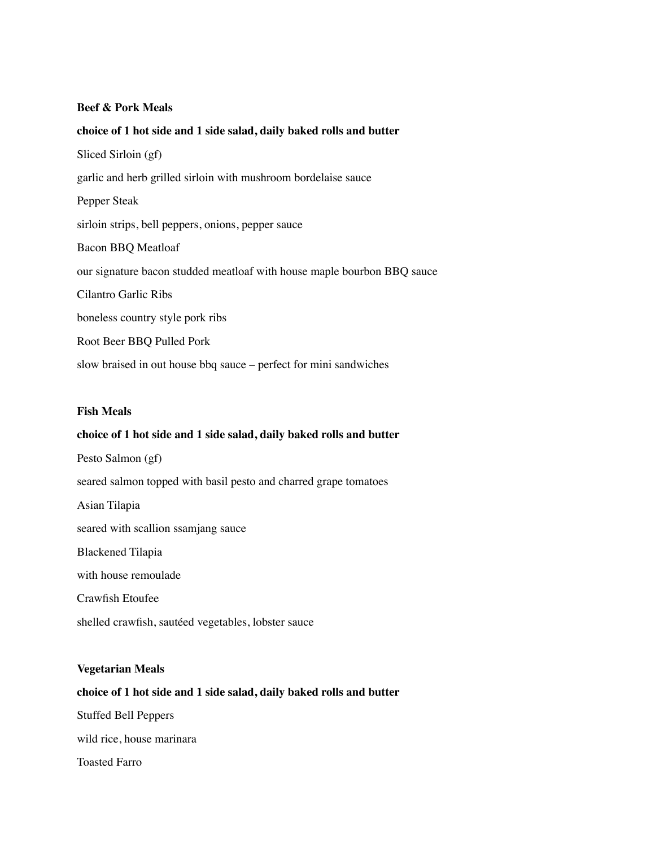#### **Beef & Pork Meals**

#### **choice of 1 hot side and 1 side salad, daily baked rolls and butter**

Sliced Sirloin (gf) garlic and herb grilled sirloin with mushroom bordelaise sauce Pepper Steak sirloin strips, bell peppers, onions, pepper sauce Bacon BBQ Meatloaf our signature bacon studded meatloaf with house maple bourbon BBQ sauce Cilantro Garlic Ribs boneless country style pork ribs Root Beer BBQ Pulled Pork slow braised in out house bbq sauce – perfect for mini sandwiches

#### **Fish Meals**

#### **choice of 1 hot side and 1 side salad, daily baked rolls and butter**

Pesto Salmon (gf) seared salmon topped with basil pesto and charred grape tomatoes Asian Tilapia seared with scallion ssamjang sauce Blackened Tilapia with house remoulade Crawfish Etoufee shelled crawfish, sautéed vegetables, lobster sauce

#### **Vegetarian Meals**

#### **choice of 1 hot side and 1 side salad, daily baked rolls and butter**

Stuffed Bell Peppers

wild rice, house marinara

Toasted Farro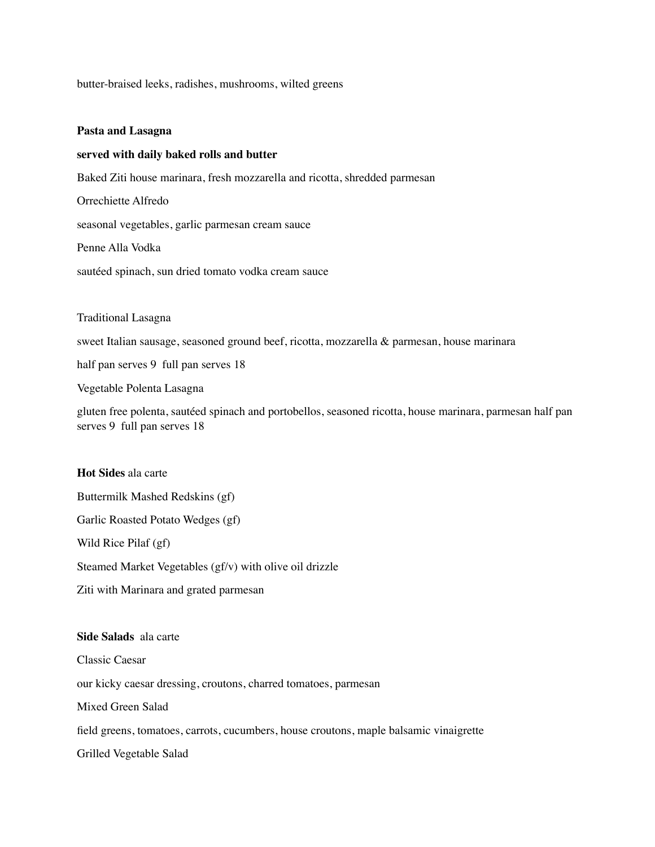butter-braised leeks, radishes, mushrooms, wilted greens

#### **Pasta and Lasagna**

#### **served with daily baked rolls and butter**

Baked Ziti house marinara, fresh mozzarella and ricotta, shredded parmesan

Orrechiette Alfredo

seasonal vegetables, garlic parmesan cream sauce

Penne Alla Vodka

sautéed spinach, sun dried tomato vodka cream sauce

Traditional Lasagna

sweet Italian sausage, seasoned ground beef, ricotta, mozzarella & parmesan, house marinara

half pan serves 9 full pan serves 18

Vegetable Polenta Lasagna

gluten free polenta, sautéed spinach and portobellos, seasoned ricotta, house marinara, parmesan half pan serves 9 full pan serves 18

#### **Hot Sides** ala carte

Buttermilk Mashed Redskins (gf)

Garlic Roasted Potato Wedges (gf)

Wild Rice Pilaf (gf)

Steamed Market Vegetables (gf/v) with olive oil drizzle

Ziti with Marinara and grated parmesan

#### **Side Salads** ala carte

Classic Caesar our kicky caesar dressing, croutons, charred tomatoes, parmesan Mixed Green Salad field greens, tomatoes, carrots, cucumbers, house croutons, maple balsamic vinaigrette Grilled Vegetable Salad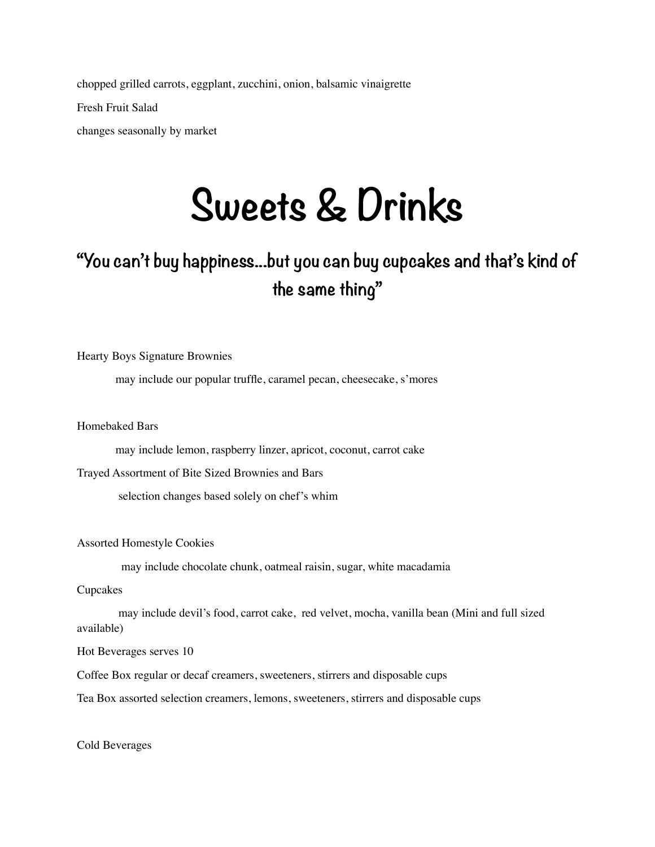chopped grilled carrots, eggplant, zucchini, onion, balsamic vinaigrette Fresh Fruit Salad

changes seasonally by market

## **Sweets & Drinks**

### **"You can't buy happiness...but you can buy cupcakes and that's kind of the same thing"**

Hearty Boys Signature Brownies

may include our popular truffle, caramel pecan, cheesecake, s'mores

Homebaked Bars

may include lemon, raspberry linzer, apricot, coconut, carrot cake

Trayed Assortment of Bite Sized Brownies and Bars

selection changes based solely on chef's whim

Assorted Homestyle Cookies

may include chocolate chunk, oatmeal raisin, sugar, white macadamia

Cupcakes

 may include devil's food, carrot cake, red velvet, mocha, vanilla bean (Mini and full sized available)

Hot Beverages serves 10

Coffee Box regular or decaf creamers, sweeteners, stirrers and disposable cups

Tea Box assorted selection creamers, lemons, sweeteners, stirrers and disposable cups

Cold Beverages